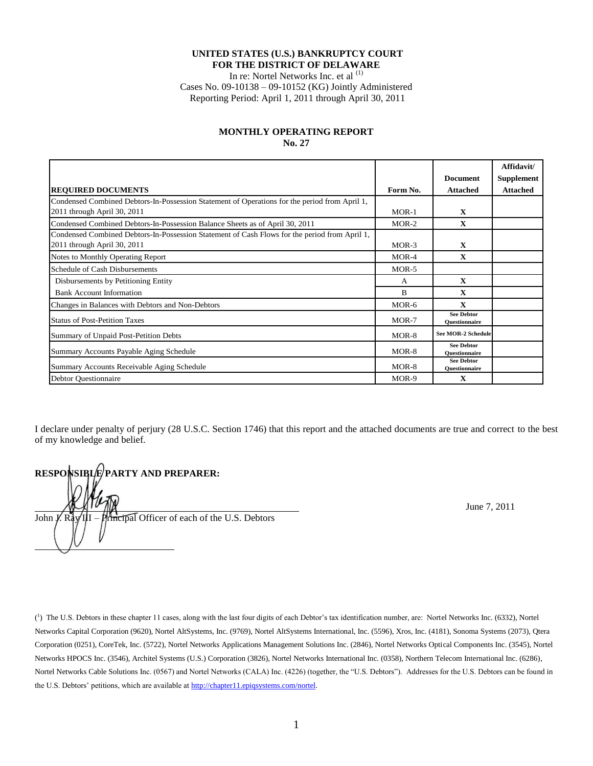### **UNITED STATES (U.S.) BANKRUPTCY COURT FOR THE DISTRICT OF DELAWARE**

In re: Nortel Networks Inc. et al <sup>(1)</sup>

Cases No. 09-10138 – 09-10152 (KG) Jointly Administered Reporting Period: April 1, 2011 through April 30, 2011

#### **MONTHLY OPERATING REPORT No. 27**

|                                                                                                                              |          |                                           | Affidavit/        |
|------------------------------------------------------------------------------------------------------------------------------|----------|-------------------------------------------|-------------------|
|                                                                                                                              |          | <b>Document</b>                           | <b>Supplement</b> |
| <b>REQUIRED DOCUMENTS</b>                                                                                                    | Form No. | <b>Attached</b>                           | <b>Attached</b>   |
| Condensed Combined Debtors-In-Possession Statement of Operations for the period from April 1,<br>2011 through April 30, 2011 | $MOR-1$  | X                                         |                   |
| Condensed Combined Debtors-In-Possession Balance Sheets as of April 30, 2011                                                 | $MOR-2$  | X                                         |                   |
| Condensed Combined Debtors-In-Possession Statement of Cash Flows for the period from April 1,<br>2011 through April 30, 2011 | $MOR-3$  | X                                         |                   |
| Notes to Monthly Operating Report                                                                                            | $MOR-4$  | X                                         |                   |
| <b>Schedule of Cash Disbursements</b>                                                                                        | $MOR-5$  |                                           |                   |
| Disbursements by Petitioning Entity                                                                                          | A        | $\mathbf{x}$                              |                   |
| <b>Bank Account Information</b>                                                                                              | B        | $\mathbf x$                               |                   |
| Changes in Balances with Debtors and Non-Debtors                                                                             | MOR-6    | $\mathbf x$                               |                   |
| <b>Status of Post-Petition Taxes</b>                                                                                         | $MOR-7$  | <b>See Debtor</b><br><b>Ouestionnaire</b> |                   |
| Summary of Unpaid Post-Petition Debts                                                                                        | MOR-8    | <b>See MOR-2 Schedule</b>                 |                   |
| Summary Accounts Payable Aging Schedule                                                                                      | $MOR-8$  | <b>See Debtor</b><br><b>Ouestionnaire</b> |                   |
| Summary Accounts Receivable Aging Schedule                                                                                   | MOR-8    | <b>See Debtor</b><br><b>Ouestionnaire</b> |                   |
| <b>Debtor Questionnaire</b>                                                                                                  | MOR-9    | X                                         |                   |

I declare under penalty of perjury (28 U.S.C. Section 1746) that this report and the attached documents are true and correct to the best of my knowledge and belief.

**RESPONSIBLE PARTY AND PREPARER:**  $\frac{1}{\sqrt{1-\frac{1}{\sqrt{1-\frac{1}{\sqrt{1-\frac{1}{\sqrt{1-\frac{1}{\sqrt{1-\frac{1}{\sqrt{1-\frac{1}{\sqrt{1-\frac{1}{\sqrt{1-\frac{1}{\sqrt{1-\frac{1}{\sqrt{1-\frac{1}{\sqrt{1-\frac{1}{\sqrt{1-\frac{1}{\sqrt{1-\frac{1}{\sqrt{1-\frac{1}{\sqrt{1-\frac{1}{\sqrt{1-\frac{1}{\sqrt{1-\frac{1}{\sqrt{1-\frac{1}{\sqrt{1-\frac{1}{\sqrt{1-\frac{1}{\sqrt{1-\frac{1}{\sqrt{1-\frac{1}{\sqrt{1-\frac{1}{\sqrt{1-\frac{1$ John  $\vec{J}$ . Ray III – Principal Officer of each of the U.S. Debtors  $\overline{a}$ 

 $\binom{1}{1}$  The U.S. Debtors in these chapter 11 cases, along with the last four digits of each Debtor's tax identification number, are: Nortel Networks Inc. (6332), Nortel Networks Capital Corporation (9620), Nortel AltSystems, Inc. (9769), Nortel AltSystems International, Inc. (5596), Xros, Inc. (4181), Sonoma Systems (2073), Qtera Corporation (0251), CoreTek, Inc. (5722), Nortel Networks Applications Management Solutions Inc. (2846), Nortel Networks Optical Components Inc. (3545), Nortel Networks HPOCS Inc. (3546), Architel Systems (U.S.) Corporation (3826), Nortel Networks International Inc. (0358), Northern Telecom International Inc. (6286), Nortel Networks Cable Solutions Inc. (0567) and Nortel Networks (CALA) Inc. (4226) (together, the "U.S. Debtors"). Addresses for the U.S. Debtors can be found in the U.S. Debtors' petitions, which are available a[t http://chapter11.epiqsystems.com/nortel.](http://chapter11.epiqsystems.com/nortel)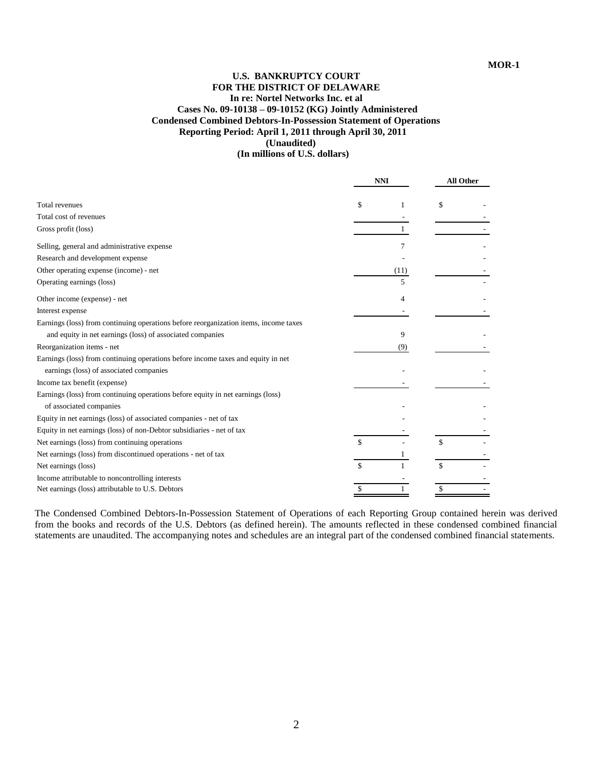# **U.S. BANKRUPTCY COURT FOR THE DISTRICT OF DELAWARE In re: Nortel Networks Inc. et al Cases No. 09-10138 – 09-10152 (KG) Jointly Administered Condensed Combined Debtors-In-Possession Statement of Operations Reporting Period: April 1, 2011 through April 30, 2011 (Unaudited)**

 **(In millions of U.S. dollars)**

|                                                                                      |               | <b>NNI</b> |    | <b>All Other</b> |  |
|--------------------------------------------------------------------------------------|---------------|------------|----|------------------|--|
| <b>Total revenues</b>                                                                | \$            |            | \$ |                  |  |
| Total cost of revenues                                                               |               |            |    |                  |  |
| Gross profit (loss)                                                                  |               |            |    |                  |  |
| Selling, general and administrative expense                                          |               | 7          |    |                  |  |
| Research and development expense                                                     |               |            |    |                  |  |
| Other operating expense (income) - net                                               |               | (11)       |    |                  |  |
| Operating earnings (loss)                                                            |               |            |    |                  |  |
| Other income (expense) - net                                                         |               | 4          |    |                  |  |
| Interest expense                                                                     |               |            |    |                  |  |
| Earnings (loss) from continuing operations before reorganization items, income taxes |               |            |    |                  |  |
| and equity in net earnings (loss) of associated companies                            |               | 9          |    |                  |  |
| Reorganization items - net                                                           |               | (9)        |    |                  |  |
| Earnings (loss) from continuing operations before income taxes and equity in net     |               |            |    |                  |  |
| earnings (loss) of associated companies                                              |               |            |    |                  |  |
| Income tax benefit (expense)                                                         |               |            |    |                  |  |
| Earnings (loss) from continuing operations before equity in net earnings (loss)      |               |            |    |                  |  |
| of associated companies                                                              |               |            |    |                  |  |
| Equity in net earnings (loss) of associated companies - net of tax                   |               |            |    |                  |  |
| Equity in net earnings (loss) of non-Debtor subsidiaries - net of tax                |               |            |    |                  |  |
| Net earnings (loss) from continuing operations                                       | $\mathcal{S}$ |            | \$ |                  |  |
| Net earnings (loss) from discontinued operations - net of tax                        |               |            |    |                  |  |
| Net earnings (loss)                                                                  | $\mathcal{S}$ |            | \$ |                  |  |
| Income attributable to noncontrolling interests                                      |               |            |    |                  |  |
| Net earnings (loss) attributable to U.S. Debtors                                     |               |            |    |                  |  |

The Condensed Combined Debtors-In-Possession Statement of Operations of each Reporting Group contained herein was derived from the books and records of the U.S. Debtors (as defined herein). The amounts reflected in these condensed combined financial statements are unaudited. The accompanying notes and schedules are an integral part of the condensed combined financial statements.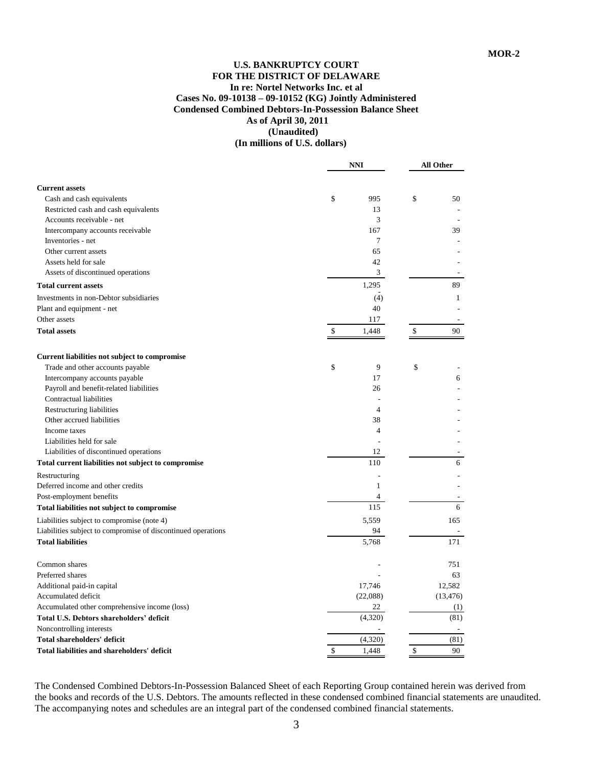### **U.S. BANKRUPTCY COURT FOR THE DISTRICT OF DELAWARE In re: Nortel Networks Inc. et al Cases No. 09-10138 – 09-10152 (KG) Jointly Administered Condensed Combined Debtors-In-Possession Balance Sheet As of April 30, 2011 (Unaudited) (In millions of U.S. dollars)**

**NNI All Other Current assets** Cash and cash equivalents **6** 50 Restricted cash and cash equivalents 13 Accounts receivable - net 3 Intercompany accounts receivable 167 39 Inventories - net 7 Other current assets 65 Assets held for sale 42 Assets of discontinued operations 3 **Total current assets** 89 - Investments in non-Debtor subsidiaries (4) 1 Plant and equipment - net 40 Other assets **117** - The set of the set of the set of the set of the set of the set of the set of the set of the set of the set of the set of the set of the set of the set of the set of the set of the set of the set of the **Total assets b 1,448** \$ 90 **Current liabilities not subject to compromise** Trade and other accounts payable  $\qquad \qquad$  \$ 9  $\qquad \qquad$  \$ Intercompany accounts payable 17 6 Payroll and benefit-related liabilities 26 Contractual liabilities Restructuring liabilities 4 Other accrued liabilities 38 Income taxes 4 and  $\frac{4}{3}$  -Liabilities held for sale Liabilities of discontinued operations 12 **Total current liabilities not subject to compromise** 110 **110** 6 Restructuring **Exercise 2** and 2 and 2 and 2 and 2 and 2 and 2 and 2 and 2 and 2 and 2 and 2 and 2 and 2 and 2 and 2 and 2 and 2 and 2 and 2 and 2 and 2 and 2 and 2 and 2 and 2 and 2 and 2 and 2 and 2 and 2 and 2 and 2 and Deferred income and other credits 1  $\frac{1}{2}$  -  $\frac{1}{2}$  -  $\frac{1}{2}$  -  $\frac{1}{2}$  -  $\frac{1}{2}$  -  $\frac{1}{2}$  -  $\frac{1}{2}$  -  $\frac{1}{2}$  -  $\frac{1}{2}$  -  $\frac{1}{2}$  -  $\frac{1}{2}$  -  $\frac{1}{2}$  -  $\frac{1}{2}$  -  $\frac{1}{2}$  -  $\frac{1}{2}$  -  $\frac{1}{$ Post-employment benefits 4 **Total liabilities not subject to compromise** 115 6 Liabilities subject to compromise (note 4) 5,559 165 Liabilities subject to compromise of discontinued operations 94 **Total liabilities** 5,768 171 Common shares **2008 Common shares** 2008 **Common shares** 2008 **Common shares** 2008 **Common shares** Preferred shares 63 Additional paid-in capital 12,582 12,582 Accumulated deficit (22,088) (13,476) Accumulated other comprehensive income (loss) 22 (1) **Total U.S. Debtors shareholders' deficit** (4,320) (81) Noncontrolling interests **Total shareholders' deficit** (4,320) (81) **Total liabilities and shareholders' deficit**  $\qquad \qquad$  **1,448**  $\qquad \qquad$  **5** 90

The Condensed Combined Debtors-In-Possession Balanced Sheet of each Reporting Group contained herein was derived from the books and records of the U.S. Debtors. The amounts reflected in these condensed combined financial statements are unaudited. The accompanying notes and schedules are an integral part of the condensed combined financial statements.

3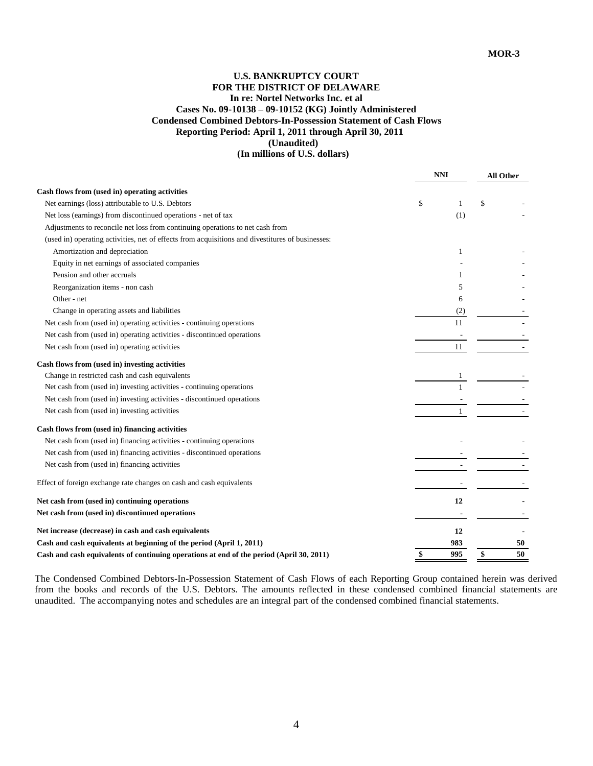# **U.S. BANKRUPTCY COURT FOR THE DISTRICT OF DELAWARE In re: Nortel Networks Inc. et al Cases No. 09-10138 – 09-10152 (KG) Jointly Administered Condensed Combined Debtors-In-Possession Statement of Cash Flows Reporting Period: April 1, 2011 through April 30, 2011 (Unaudited)**

### **(In millions of U.S. dollars)**

|                                                                                                  | <b>NNI</b> | <b>All Other</b> |  |
|--------------------------------------------------------------------------------------------------|------------|------------------|--|
| Cash flows from (used in) operating activities                                                   |            |                  |  |
| Net earnings (loss) attributable to U.S. Debtors                                                 | \$<br>1    | \$               |  |
| Net loss (earnings) from discontinued operations - net of tax                                    | (1)        |                  |  |
| Adjustments to reconcile net loss from continuing operations to net cash from                    |            |                  |  |
| (used in) operating activities, net of effects from acquisitions and divestitures of businesses: |            |                  |  |
| Amortization and depreciation                                                                    | 1          |                  |  |
| Equity in net earnings of associated companies                                                   |            |                  |  |
| Pension and other accruals                                                                       | 1          |                  |  |
| Reorganization items - non cash                                                                  | 5          |                  |  |
| Other - net                                                                                      | 6          |                  |  |
| Change in operating assets and liabilities                                                       | (2)        |                  |  |
| Net cash from (used in) operating activities - continuing operations                             | 11         |                  |  |
| Net cash from (used in) operating activities - discontinued operations                           |            |                  |  |
| Net cash from (used in) operating activities                                                     | 11         |                  |  |
| Cash flows from (used in) investing activities                                                   |            |                  |  |
| Change in restricted cash and cash equivalents                                                   |            |                  |  |
| Net cash from (used in) investing activities - continuing operations                             |            |                  |  |
| Net cash from (used in) investing activities - discontinued operations                           |            |                  |  |
| Net cash from (used in) investing activities                                                     | 1          |                  |  |
| Cash flows from (used in) financing activities                                                   |            |                  |  |
| Net cash from (used in) financing activities - continuing operations                             |            |                  |  |
| Net cash from (used in) financing activities - discontinued operations                           |            |                  |  |
| Net cash from (used in) financing activities                                                     |            |                  |  |
| Effect of foreign exchange rate changes on cash and cash equivalents                             |            |                  |  |
| Net cash from (used in) continuing operations                                                    | 12         |                  |  |
| Net cash from (used in) discontinued operations                                                  |            |                  |  |
| Net increase (decrease) in cash and cash equivalents                                             | 12         |                  |  |
| Cash and cash equivalents at beginning of the period (April 1, 2011)                             | 983        | 50               |  |
| Cash and cash equivalents of continuing operations at end of the period (April 30, 2011)         | 995        | 50<br>\$         |  |

The Condensed Combined Debtors-In-Possession Statement of Cash Flows of each Reporting Group contained herein was derived from the books and records of the U.S. Debtors. The amounts reflected in these condensed combined financial statements are unaudited. The accompanying notes and schedules are an integral part of the condensed combined financial statements.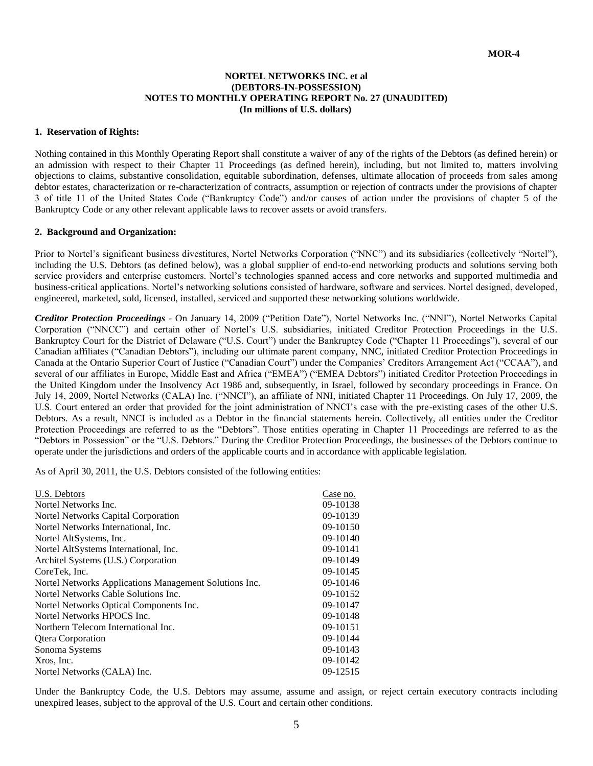### **NORTEL NETWORKS INC. et al (DEBTORS-IN-POSSESSION) NOTES TO MONTHLY OPERATING REPORT No. 27 (UNAUDITED) (In millions of U.S. dollars)**

### **1. Reservation of Rights:**

Nothing contained in this Monthly Operating Report shall constitute a waiver of any of the rights of the Debtors (as defined herein) or an admission with respect to their Chapter 11 Proceedings (as defined herein), including, but not limited to, matters involving objections to claims, substantive consolidation, equitable subordination, defenses, ultimate allocation of proceeds from sales among debtor estates, characterization or re-characterization of contracts, assumption or rejection of contracts under the provisions of chapter 3 of title 11 of the United States Code ("Bankruptcy Code") and/or causes of action under the provisions of chapter 5 of the Bankruptcy Code or any other relevant applicable laws to recover assets or avoid transfers.

#### **2. Background and Organization:**

Prior to Nortel's significant business divestitures, Nortel Networks Corporation ("NNC") and its subsidiaries (collectively "Nortel"), including the U.S. Debtors (as defined below), was a global supplier of end-to-end networking products and solutions serving both service providers and enterprise customers. Nortel's technologies spanned access and core networks and supported multimedia and business-critical applications. Nortel's networking solutions consisted of hardware, software and services. Nortel designed, developed, engineered, marketed, sold, licensed, installed, serviced and supported these networking solutions worldwide.

*Creditor Protection Proceedings* - On January 14, 2009 ("Petition Date"), Nortel Networks Inc. ("NNI"), Nortel Networks Capital Corporation ("NNCC") and certain other of Nortel's U.S. subsidiaries, initiated Creditor Protection Proceedings in the U.S. Bankruptcy Court for the District of Delaware ("U.S. Court") under the Bankruptcy Code ("Chapter 11 Proceedings"), several of our Canadian affiliates ("Canadian Debtors"), including our ultimate parent company, NNC, initiated Creditor Protection Proceedings in Canada at the Ontario Superior Court of Justice ("Canadian Court") under the Companies' Creditors Arrangement Act ("CCAA"), and several of our affiliates in Europe, Middle East and Africa ("EMEA") ("EMEA Debtors") initiated Creditor Protection Proceedings in the United Kingdom under the Insolvency Act 1986 and, subsequently, in Israel, followed by secondary proceedings in France. On July 14, 2009, Nortel Networks (CALA) Inc. ("NNCI"), an affiliate of NNI, initiated Chapter 11 Proceedings. On July 17, 2009, the U.S. Court entered an order that provided for the joint administration of NNCI's case with the pre-existing cases of the other U.S. Debtors. As a result, NNCI is included as a Debtor in the financial statements herein*.* Collectively, all entities under the Creditor Protection Proceedings are referred to as the "Debtors". Those entities operating in Chapter 11 Proceedings are referred to as the "Debtors in Possession" or the "U.S. Debtors." During the Creditor Protection Proceedings, the businesses of the Debtors continue to operate under the jurisdictions and orders of the applicable courts and in accordance with applicable legislation.

As of April 30, 2011, the U.S. Debtors consisted of the following entities:

| U.S. Debtors                                           | Case no. |
|--------------------------------------------------------|----------|
| Nortel Networks Inc.                                   | 09-10138 |
| Nortel Networks Capital Corporation                    | 09-10139 |
| Nortel Networks International, Inc.                    | 09-10150 |
| Nortel AltSystems, Inc.                                | 09-10140 |
| Nortel AltSystems International, Inc.                  | 09-10141 |
| Architel Systems (U.S.) Corporation                    | 09-10149 |
| CoreTek, Inc.                                          | 09-10145 |
| Nortel Networks Applications Management Solutions Inc. | 09-10146 |
| Nortel Networks Cable Solutions Inc.                   | 09-10152 |
| Nortel Networks Optical Components Inc.                | 09-10147 |
| Nortel Networks HPOCS Inc.                             | 09-10148 |
| Northern Telecom International Inc.                    | 09-10151 |
| <b>Qtera Corporation</b>                               | 09-10144 |
| Sonoma Systems                                         | 09-10143 |
| Xros, Inc.                                             | 09-10142 |
| Nortel Networks (CALA) Inc.                            | 09-12515 |
|                                                        |          |

Under the Bankruptcy Code, the U.S. Debtors may assume, assume and assign, or reject certain executory contracts including unexpired leases, subject to the approval of the U.S. Court and certain other conditions.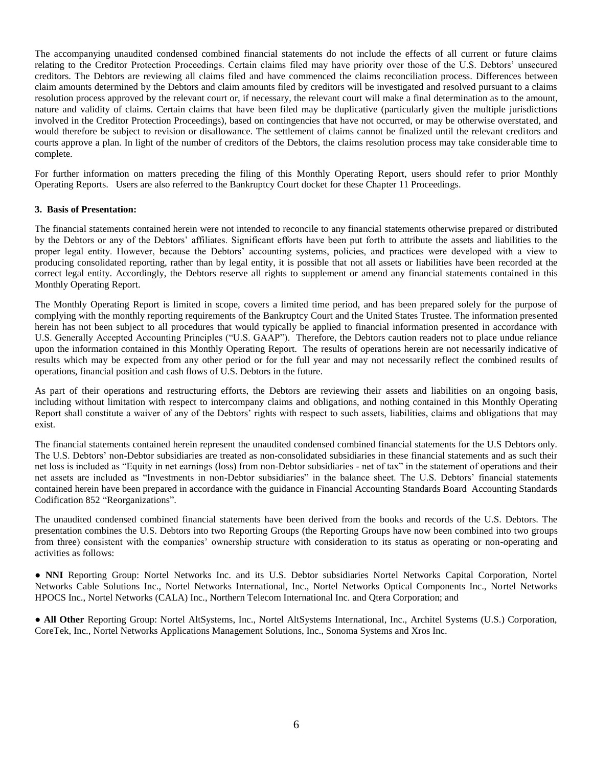The accompanying unaudited condensed combined financial statements do not include the effects of all current or future claims relating to the Creditor Protection Proceedings. Certain claims filed may have priority over those of the U.S. Debtors' unsecured creditors. The Debtors are reviewing all claims filed and have commenced the claims reconciliation process. Differences between claim amounts determined by the Debtors and claim amounts filed by creditors will be investigated and resolved pursuant to a claims resolution process approved by the relevant court or, if necessary, the relevant court will make a final determination as to the amount, nature and validity of claims. Certain claims that have been filed may be duplicative (particularly given the multiple jurisdictions involved in the Creditor Protection Proceedings), based on contingencies that have not occurred, or may be otherwise overstated, and would therefore be subject to revision or disallowance. The settlement of claims cannot be finalized until the relevant creditors and courts approve a plan. In light of the number of creditors of the Debtors, the claims resolution process may take considerable time to complete.

For further information on matters preceding the filing of this Monthly Operating Report, users should refer to prior Monthly Operating Reports. Users are also referred to the Bankruptcy Court docket for these Chapter 11 Proceedings.

### **3. Basis of Presentation:**

The financial statements contained herein were not intended to reconcile to any financial statements otherwise prepared or distributed by the Debtors or any of the Debtors' affiliates. Significant efforts have been put forth to attribute the assets and liabilities to the proper legal entity. However, because the Debtors' accounting systems, policies, and practices were developed with a view to producing consolidated reporting, rather than by legal entity, it is possible that not all assets or liabilities have been recorded at the correct legal entity. Accordingly, the Debtors reserve all rights to supplement or amend any financial statements contained in this Monthly Operating Report.

The Monthly Operating Report is limited in scope, covers a limited time period, and has been prepared solely for the purpose of complying with the monthly reporting requirements of the Bankruptcy Court and the United States Trustee. The information presented herein has not been subject to all procedures that would typically be applied to financial information presented in accordance with U.S. Generally Accepted Accounting Principles ("U.S. GAAP"). Therefore, the Debtors caution readers not to place undue reliance upon the information contained in this Monthly Operating Report. The results of operations herein are not necessarily indicative of results which may be expected from any other period or for the full year and may not necessarily reflect the combined results of operations, financial position and cash flows of U.S. Debtors in the future.

As part of their operations and restructuring efforts, the Debtors are reviewing their assets and liabilities on an ongoing basis, including without limitation with respect to intercompany claims and obligations, and nothing contained in this Monthly Operating Report shall constitute a waiver of any of the Debtors' rights with respect to such assets, liabilities, claims and obligations that may exist.

The financial statements contained herein represent the unaudited condensed combined financial statements for the U.S Debtors only. The U.S. Debtors' non-Debtor subsidiaries are treated as non-consolidated subsidiaries in these financial statements and as such their net loss is included as "Equity in net earnings (loss) from non-Debtor subsidiaries - net of tax" in the statement of operations and their net assets are included as "Investments in non-Debtor subsidiaries" in the balance sheet. The U.S. Debtors' financial statements contained herein have been prepared in accordance with the guidance in Financial Accounting Standards Board Accounting Standards Codification 852 "Reorganizations".

The unaudited condensed combined financial statements have been derived from the books and records of the U.S. Debtors. The presentation combines the U.S. Debtors into two Reporting Groups (the Reporting Groups have now been combined into two groups from three) consistent with the companies' ownership structure with consideration to its status as operating or non-operating and activities as follows:

● **NNI** Reporting Group: Nortel Networks Inc. and its U.S. Debtor subsidiaries Nortel Networks Capital Corporation, Nortel Networks Cable Solutions Inc., Nortel Networks International, Inc., Nortel Networks Optical Components Inc., Nortel Networks HPOCS Inc., Nortel Networks (CALA) Inc., Northern Telecom International Inc. and Qtera Corporation; and

● **All Other** Reporting Group: Nortel AltSystems, Inc., Nortel AltSystems International, Inc., Architel Systems (U.S.) Corporation, CoreTek, Inc., Nortel Networks Applications Management Solutions, Inc., Sonoma Systems and Xros Inc.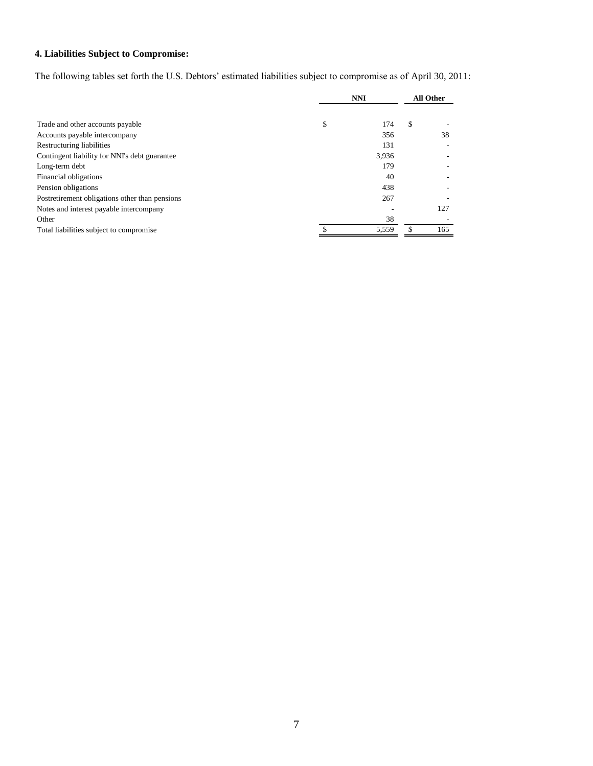# **4. Liabilities Subject to Compromise:**

The following tables set forth the U.S. Debtors' estimated liabilities subject to compromise as of April 30, 2011:

|                                                | <b>NNI</b> |       | <b>All Other</b> |     |
|------------------------------------------------|------------|-------|------------------|-----|
|                                                |            |       |                  |     |
| Trade and other accounts payable               | \$         | 174   | \$               |     |
| Accounts payable intercompany                  |            | 356   |                  | 38  |
| Restructuring liabilities                      |            | 131   |                  |     |
| Contingent liability for NNI's debt guarantee  |            | 3,936 |                  |     |
| Long-term debt                                 |            | 179   |                  |     |
| Financial obligations                          |            | 40    |                  |     |
| Pension obligations                            |            | 438   |                  |     |
| Postretirement obligations other than pensions |            | 267   |                  |     |
| Notes and interest payable intercompany        |            |       |                  | 127 |
| Other                                          |            | 38    |                  |     |
| Total liabilities subject to compromise        |            | 5,559 |                  | 165 |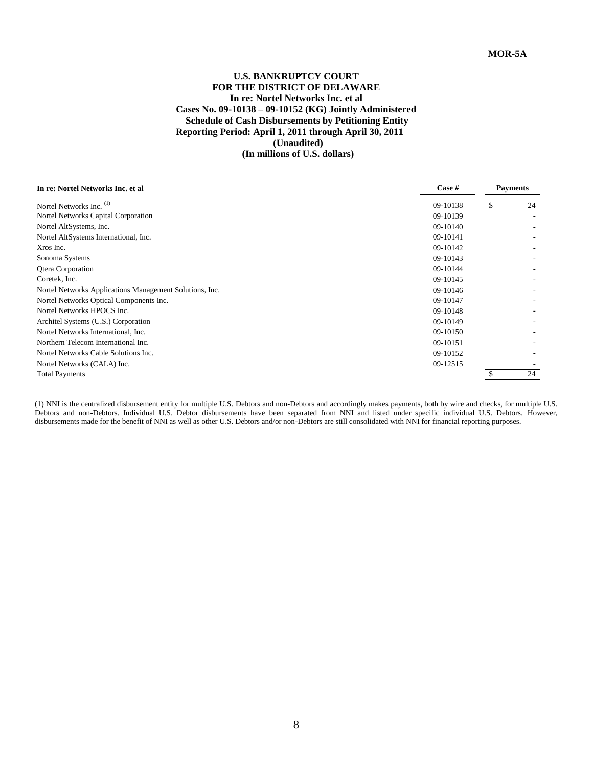# **U.S. BANKRUPTCY COURT FOR THE DISTRICT OF DELAWARE In re: Nortel Networks Inc. et al Cases No. 09-10138 – 09-10152 (KG) Jointly Administered Schedule of Cash Disbursements by Petitioning Entity Reporting Period: April 1, 2011 through April 30, 2011 (Unaudited) (In millions of U.S. dollars)**

| In re: Nortel Networks Inc. et al                       | Case #   | <b>Payments</b> |
|---------------------------------------------------------|----------|-----------------|
| Nortel Networks Inc. <sup>(1)</sup>                     | 09-10138 | \$<br>24        |
| Nortel Networks Capital Corporation                     | 09-10139 |                 |
| Nortel AltSystems, Inc.                                 | 09-10140 |                 |
| Nortel AltSystems International, Inc.                   | 09-10141 |                 |
| Xros Inc.                                               | 09-10142 |                 |
| Sonoma Systems                                          | 09-10143 |                 |
| Qtera Corporation                                       | 09-10144 |                 |
| Coretek, Inc.                                           | 09-10145 |                 |
| Nortel Networks Applications Management Solutions, Inc. | 09-10146 |                 |
| Nortel Networks Optical Components Inc.                 | 09-10147 |                 |
| Nortel Networks HPOCS Inc.                              | 09-10148 |                 |
| Architel Systems (U.S.) Corporation                     | 09-10149 |                 |
| Nortel Networks International, Inc.                     | 09-10150 |                 |
| Northern Telecom International Inc.                     | 09-10151 |                 |
| Nortel Networks Cable Solutions Inc.                    | 09-10152 |                 |
| Nortel Networks (CALA) Inc.                             | 09-12515 |                 |
| <b>Total Payments</b>                                   |          | 24              |

(1) NNI is the centralized disbursement entity for multiple U.S. Debtors and non-Debtors and accordingly makes payments, both by wire and checks, for multiple U.S. Debtors and non-Debtors. Individual U.S. Debtor disbursements have been separated from NNI and listed under specific individual U.S. Debtors. However, disbursements made for the benefit of NNI as well as other U.S. Debtors and/or non-Debtors are still consolidated with NNI for financial reporting purposes.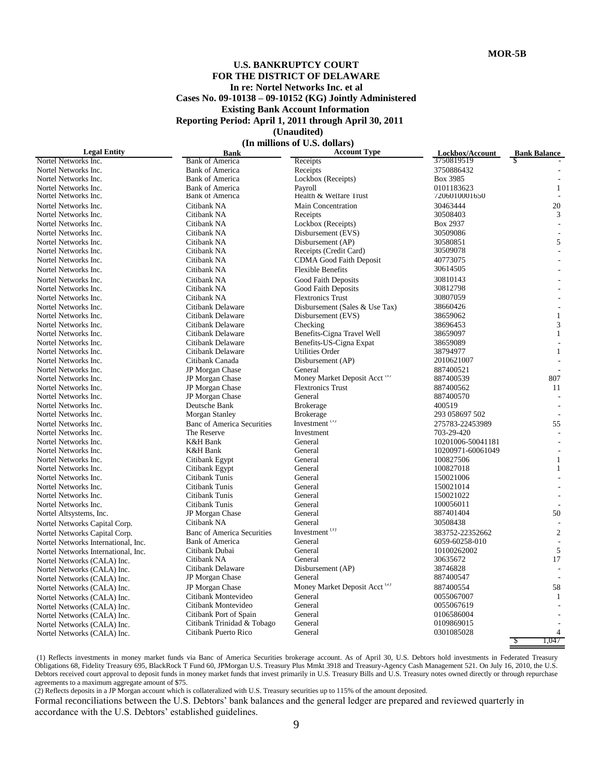# **U.S. BANKRUPTCY COURT FOR THE DISTRICT OF DELAWARE In re: Nortel Networks Inc. et al Cases No. 09-10138 – 09-10152 (KG) Jointly Administered Existing Bank Account Information Reporting Period: April 1, 2011 through April 30, 2011 (Unaudited)**

 **(In millions of U.S. dollars)**

| <b>Legal Entity</b>                 | <b>Bank</b>                       | <b>Account Type</b>                      | Lockbox/Account   | <b>Bank Balance</b> |
|-------------------------------------|-----------------------------------|------------------------------------------|-------------------|---------------------|
| Nortel Networks Inc.                | <b>Bank of America</b>            | Receipts                                 | 3750819519        | S                   |
| Nortel Networks Inc.                | <b>Bank of America</b>            | Receipts                                 | 3750886432        |                     |
| Nortel Networks Inc.                | <b>Bank of America</b>            | Lockbox (Receipts)                       | Box 3985          |                     |
| Nortel Networks Inc.                | <b>Bank of America</b>            | Payroll                                  | 0101183623        | $\mathbf{1}$        |
| Nortel Networks Inc.                | <b>Bank of America</b>            | Health & Welfare Trust                   | 7206010001650     |                     |
| Nortel Networks Inc.                | Citibank NA                       | <b>Main Concentration</b>                | 30463444          | 20                  |
| Nortel Networks Inc.                | Citibank NA                       | Receipts                                 | 30508403          | 3                   |
| Nortel Networks Inc.                | Citibank NA                       | Lockbox (Receipts)                       | Box 2937          |                     |
| Nortel Networks Inc.                | Citibank NA                       | Disbursement (EVS)                       | 30509086          |                     |
| Nortel Networks Inc.                | Citibank NA                       | Disbursement (AP)                        | 30580851          | 5                   |
| Nortel Networks Inc.                | Citibank NA                       | Receipts (Credit Card)                   | 30509078          |                     |
| Nortel Networks Inc.                | Citibank NA                       | <b>CDMA Good Faith Deposit</b>           | 40773075          |                     |
| Nortel Networks Inc.                | Citibank NA                       | <b>Flexible Benefits</b>                 | 30614505          |                     |
| Nortel Networks Inc.                | Citibank NA                       | Good Faith Deposits                      | 30810143          |                     |
| Nortel Networks Inc.                | Citibank NA                       | Good Faith Deposits                      | 30812798          |                     |
| Nortel Networks Inc.                | Citibank NA                       | <b>Flextronics Trust</b>                 | 30807059          |                     |
| Nortel Networks Inc.                | Citibank Delaware                 | Disbursement (Sales & Use Tax)           | 38660426          |                     |
| Nortel Networks Inc.                | Citibank Delaware                 | Disbursement (EVS)                       | 38659062          | $\mathbf{1}$        |
| Nortel Networks Inc.                | Citibank Delaware                 | Checking                                 | 38696453          | 3                   |
| Nortel Networks Inc.                | Citibank Delaware                 | Benefits-Cigna Travel Well               | 38659097          | $\mathbf{1}$        |
| Nortel Networks Inc.                | Citibank Delaware                 | Benefits-US-Cigna Expat                  | 38659089          |                     |
| Nortel Networks Inc.                | Citibank Delaware                 | <b>Utilities Order</b>                   | 38794977          | $\mathbf{1}$        |
| Nortel Networks Inc.                | Citibank Canada                   | Disbursement (AP)                        | 2010621007        |                     |
| Nortel Networks Inc.                | JP Morgan Chase                   | General                                  | 887400521         |                     |
| Nortel Networks Inc.                | JP Morgan Chase                   | Money Market Deposit Acct <sup>(2)</sup> | 887400539         | 807                 |
| Nortel Networks Inc.                | JP Morgan Chase                   | <b>Flextronics Trust</b>                 | 887400562         | 11                  |
| Nortel Networks Inc.                | JP Morgan Chase                   | General                                  | 887400570         |                     |
| Nortel Networks Inc.                | Deutsche Bank                     | <b>Brokerage</b>                         | 400519            |                     |
| Nortel Networks Inc.                | <b>Morgan Stanley</b>             | <b>Brokerage</b>                         | 293 058697 502    |                     |
|                                     | <b>Banc of America Securities</b> | Investment <sup>11</sup>                 |                   | 55                  |
| Nortel Networks Inc.                | The Reserve                       |                                          | 275783-22453989   |                     |
| Nortel Networks Inc.                |                                   | Investment                               | 703-29-420        |                     |
| Nortel Networks Inc.                | <b>K&amp;H</b> Bank               | General                                  | 10201006-50041181 |                     |
| Nortel Networks Inc.                | <b>K&amp;H</b> Bank               | General                                  | 10200971-60061049 | $\overline{a}$      |
| Nortel Networks Inc.                | Citibank Egypt                    | General                                  | 100827506         | $\mathbf{1}$        |
| Nortel Networks Inc.                | Citibank Egypt                    | General                                  | 100827018         | $\mathbf{1}$        |
| Nortel Networks Inc.                | Citibank Tunis                    | General                                  | 150021006         |                     |
| Nortel Networks Inc.                | Citibank Tunis                    | General                                  | 150021014         |                     |
| Nortel Networks Inc.                | Citibank Tunis                    | General                                  | 150021022         |                     |
| Nortel Networks Inc.                | Citibank Tunis                    | General                                  | 100056011         |                     |
| Nortel Altsystems, Inc.             | JP Morgan Chase                   | General                                  | 887401404         | 50                  |
| Nortel Networks Capital Corp.       | Citibank NA                       | General                                  | 30508438          |                     |
| Nortel Networks Capital Corp.       | <b>Banc of America Securities</b> | Investment <sup>(1)</sup>                | 383752-22352662   | $\overline{2}$      |
| Nortel Networks International, Inc. | <b>Bank of America</b>            | General                                  | 6059-60258-010    |                     |
| Nortel Networks International, Inc. | Citibank Dubai                    | General                                  | 10100262002       | 5                   |
| Nortel Networks (CALA) Inc.         | Citibank NA                       | General                                  | 30635672          | 17                  |
| Nortel Networks (CALA) Inc.         | Citibank Delaware                 | Disbursement (AP)                        | 38746828          |                     |
| Nortel Networks (CALA) Inc.         | <b>JP</b> Morgan Chase            | General                                  | 887400547         |                     |
| Nortel Networks (CALA) Inc.         | JP Morgan Chase                   | Money Market Deposit Acct <sup>(2)</sup> | 887400554         | 58                  |
| Nortel Networks (CALA) Inc.         | Citibank Montevideo               | General                                  | 0055067007        | 1                   |
| Nortel Networks (CALA) Inc.         | Citibank Montevideo               | General                                  | 0055067619        |                     |
| Nortel Networks (CALA) Inc.         | Citibank Port of Spain            | General                                  | 0106586004        |                     |
| Nortel Networks (CALA) Inc.         | Citibank Trinidad & Tobago        | General                                  | 0109869015        |                     |
| Nortel Networks (CALA) Inc.         | Citibank Puerto Rico              | General                                  | 0301085028        | 4                   |
|                                     |                                   |                                          |                   | 1.047<br>S          |

(1) Reflects investments in money market funds via Banc of America Securities brokerage account. As of April 30, U.S. Debtors hold investments in Federated Treasury Obligations 68, Fidelity Treasury 695, BlackRock T Fund 60, JPMorgan U.S. Treasury Plus Mmkt 3918 and Treasury-Agency Cash Management 521. On July 16, 2010, the U.S. Debtors received court approval to deposit funds in money market funds that invest primarily in U.S. Treasury Bills and U.S. Treasury notes owned directly or through repurchase agreements to a maximum aggregate amount of \$75.

(2) Reflects deposits in a JP Morgan account which is collateralized with U.S. Treasury securities up to 115% of the amount deposited.

Formal reconciliations between the U.S. Debtors' bank balances and the general ledger are prepared and reviewed quarterly in accordance with the U.S. Debtors' established guidelines.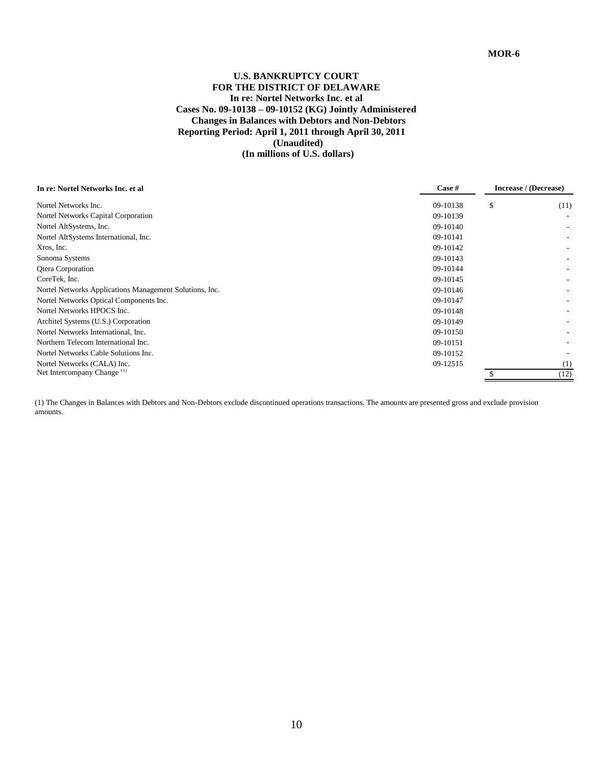# **U.S. BANKRUPTCY COURT FOR THE DISTRICT OF DELAWARE In re: Nortel Networks Inc. et al Cases No. 09-10138 – 09-10152 (KG) Jointly Administered Changes in Balances with Debtors and Non-Debtors Reporting Period: April 1, 2011 through April 30, 2011 (Unaudited) (In millions of U.S. dollars)**

| In re: Nortel Networks Inc. et al                       | Case #   | Increase / (Decrease) |  |
|---------------------------------------------------------|----------|-----------------------|--|
| Nortel Networks Inc.                                    | 09-10138 | \$<br>(11)            |  |
| Nortel Networks Capital Corporation                     | 09-10139 |                       |  |
| Nortel AltSystems, Inc.                                 | 09-10140 |                       |  |
| Nortel AltSystems International, Inc.                   | 09-10141 |                       |  |
| Xros, Inc.                                              | 09-10142 |                       |  |
| Sonoma Systems                                          | 09-10143 |                       |  |
| <b>Qtera Corporation</b>                                | 09-10144 |                       |  |
| CoreTek, Inc.                                           | 09-10145 |                       |  |
| Nortel Networks Applications Management Solutions, Inc. | 09-10146 |                       |  |
| Nortel Networks Optical Components Inc.                 | 09-10147 |                       |  |
| Nortel Networks HPOCS Inc.                              | 09-10148 |                       |  |
| Architel Systems (U.S.) Corporation                     | 09-10149 |                       |  |
| Nortel Networks International, Inc.                     | 09-10150 |                       |  |
| Northern Telecom International Inc.                     | 09-10151 |                       |  |
| Nortel Networks Cable Solutions Inc.                    | 09-10152 |                       |  |
| Nortel Networks (CALA) Inc.                             | 09-12515 | (1)                   |  |
| Net Intercompany Change <sup>(1)</sup>                  |          | (12)                  |  |

(1) The Changes in Balances with Debtors and Non-Debtors exclude discontinued operations transactions. The amounts are presented gross and exclude provision amounts.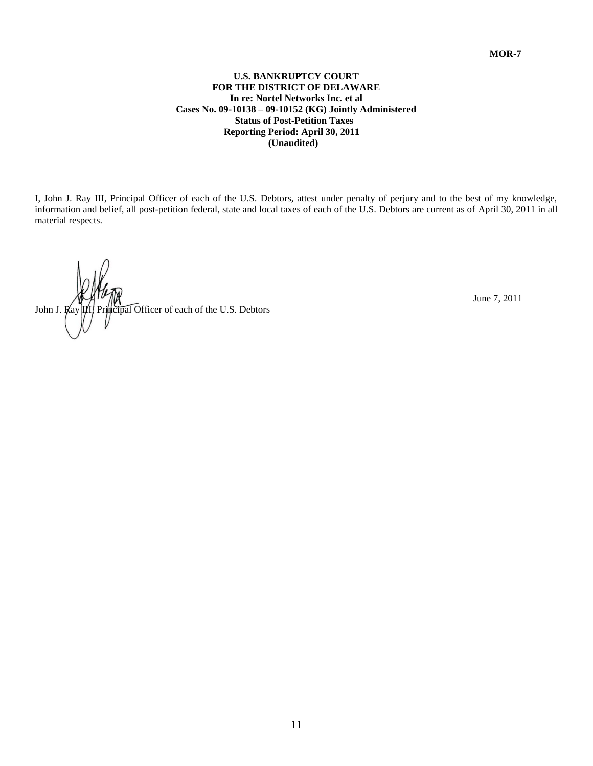# **U.S. BANKRUPTCY COURT FOR THE DISTRICT OF DELAWARE In re: Nortel Networks Inc. et al Cases No. 09-10138 – 09-10152 (KG) Jointly Administered Status of Post-Petition Taxes Reporting Period: April 30, 2011 (Unaudited)**

I, John J. Ray III, Principal Officer of each of the U.S. Debtors, attest under penalty of perjury and to the best of my knowledge, information and belief, all post-petition federal, state and local taxes of each of the U.S. Debtors are current as of April 30, 2011 in all material respects.

John J. Ray III. Principal Officer of each of the U.S. Debtors **Incipal Officer of each of the U.S. Debtors**